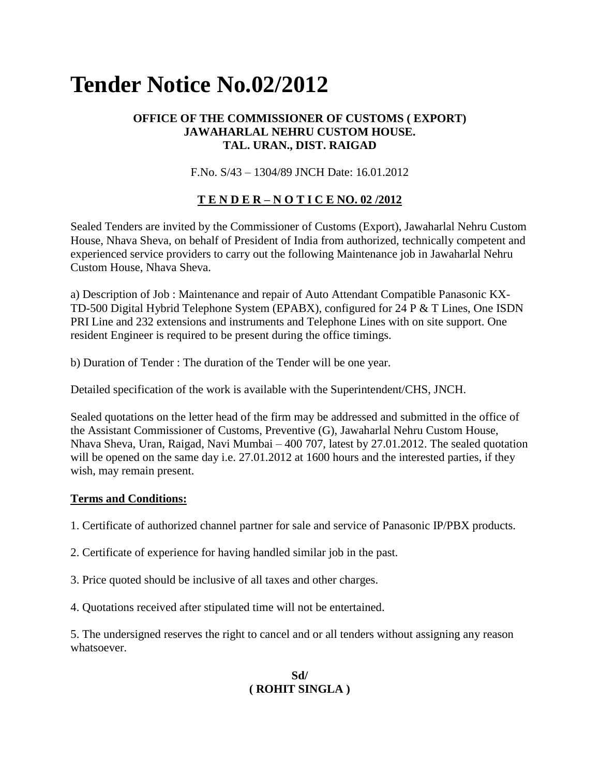# **Tender Notice No.02/2012**

## **OFFICE OF THE COMMISSIONER OF CUSTOMS ( EXPORT) JAWAHARLAL NEHRU CUSTOM HOUSE. TAL. URAN., DIST. RAIGAD**

F.No. S/43 – 1304/89 JNCH Date: 16.01.2012

# **T E N D E R – N O T I C E NO. 02 /2012**

Sealed Tenders are invited by the Commissioner of Customs (Export), Jawaharlal Nehru Custom House, Nhava Sheva, on behalf of President of India from authorized, technically competent and experienced service providers to carry out the following Maintenance job in Jawaharlal Nehru Custom House, Nhava Sheva.

a) Description of Job : Maintenance and repair of Auto Attendant Compatible Panasonic KX-TD-500 Digital Hybrid Telephone System (EPABX), configured for 24 P & T Lines, One ISDN PRI Line and 232 extensions and instruments and Telephone Lines with on site support. One resident Engineer is required to be present during the office timings.

b) Duration of Tender : The duration of the Tender will be one year.

Detailed specification of the work is available with the Superintendent/CHS, JNCH.

Sealed quotations on the letter head of the firm may be addressed and submitted in the office of the Assistant Commissioner of Customs, Preventive (G), Jawaharlal Nehru Custom House, Nhava Sheva, Uran, Raigad, Navi Mumbai – 400 707, latest by 27.01.2012. The sealed quotation will be opened on the same day i.e. 27.01.2012 at 1600 hours and the interested parties, if they wish, may remain present.

#### **Terms and Conditions:**

1. Certificate of authorized channel partner for sale and service of Panasonic IP/PBX products.

2. Certificate of experience for having handled similar job in the past.

3. Price quoted should be inclusive of all taxes and other charges.

4. Quotations received after stipulated time will not be entertained.

5. The undersigned reserves the right to cancel and or all tenders without assigning any reason whatsoever.

## **Sd/ ( ROHIT SINGLA )**